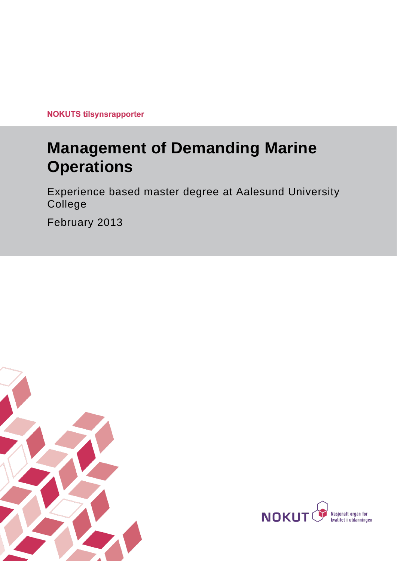**NOKUTS tilsynsrapporter** 

# **Management of Demanding Marine Operations**

Experience based master degree at Aalesund University College

February 2013



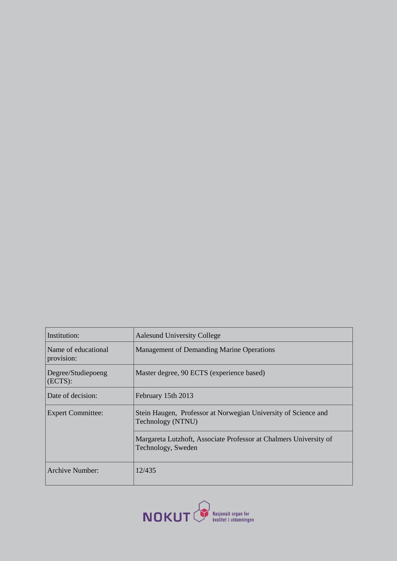| Institution:                      | <b>Aalesund University College</b>                                                      |  |  |
|-----------------------------------|-----------------------------------------------------------------------------------------|--|--|
| Name of educational<br>provision: | Management of Demanding Marine Operations                                               |  |  |
| Degree/Studiepoeng<br>(ECTS):     | Master degree, 90 ECTS (experience based)                                               |  |  |
| Date of decision:                 | February 15th 2013                                                                      |  |  |
| <b>Expert Committee:</b>          | Stein Haugen, Professor at Norwegian University of Science and<br>Technology (NTNU)     |  |  |
|                                   | Margareta Lutzhoft, Associate Professor at Chalmers University of<br>Technology, Sweden |  |  |
| <b>Archive Number:</b>            | 12/435                                                                                  |  |  |

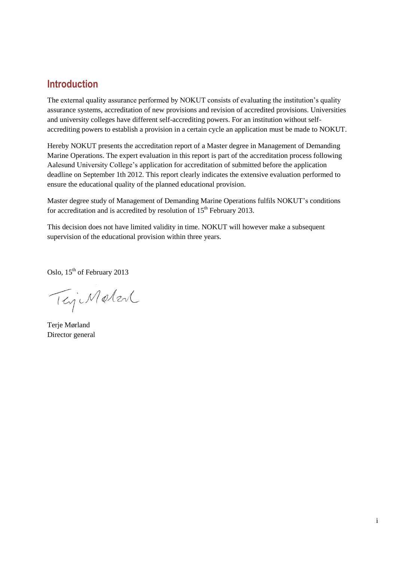# **Introduction**

The external quality assurance performed by NOKUT consists of evaluating the institution's quality assurance systems, accreditation of new provisions and revision of accredited provisions. Universities and university colleges have different self-accrediting powers. For an institution without selfaccrediting powers to establish a provision in a certain cycle an application must be made to NOKUT.

Hereby NOKUT presents the accreditation report of a Master degree in Management of Demanding Marine Operations. The expert evaluation in this report is part of the accreditation process following Aalesund University College's application for accreditation of submitted before the application deadline on September 1th 2012. This report clearly indicates the extensive evaluation performed to ensure the educational quality of the planned educational provision.

Master degree study of Management of Demanding Marine Operations fulfils NOKUT's conditions for accreditation and is accredited by resolution of  $15<sup>th</sup>$  February 2013.

This decision does not have limited validity in time. NOKUT will however make a subsequent supervision of the educational provision within three years.

Oslo, 15<sup>th</sup> of February 2013

TejiMeter

Terie Mørland Director general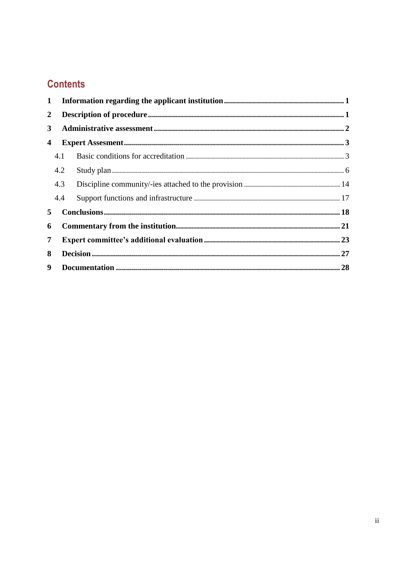# **Contents**

| 2   |   |    |
|-----|---|----|
|     |   |    |
|     |   |    |
| 4.1 |   |    |
| 4.2 |   |    |
| 4.3 |   |    |
| 4.4 |   |    |
|     |   |    |
|     |   |    |
| 7   |   |    |
| 8   |   |    |
|     |   | 28 |
| 3   | 5 |    |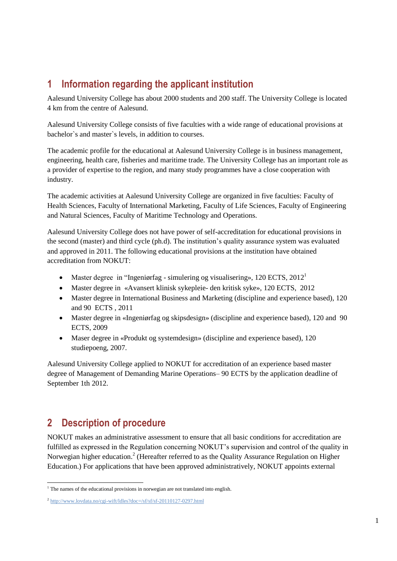# <span id="page-4-0"></span>**1 Information regarding the applicant institution**

Aalesund University College has about 2000 students and 200 staff. The University College is located 4 km from the centre of Aalesund.

Aalesund University College consists of five faculties with a wide range of educational provisions at bachelor`s and master`s levels, in addition to courses.

The academic profile for the educational at Aalesund University College is in business management, engineering, health care, fisheries and maritime trade. The University College has an important role as a provider of expertise to the region, and many study programmes have a close cooperation with industry.

The academic activities at Aalesund University College are organized in five faculties: Faculty of Health Sciences, Faculty of International Marketing, Faculty of Life Sciences, Faculty of Engineering and Natural Sciences, Faculty of Maritime Technology and Operations.

Aalesund University College does not have power of self-accreditation for educational provisions in the second (master) and third cycle (ph.d). The institution's quality assurance system was evaluated and approved in 2011. The following educational provisions at the institution have obtained accreditation from NOKUT:

- Master degree in "Ingeniørfag simulering og visualisering», 120 ECTS, 2012<sup>1</sup>
- Master degree in «Avansert klinisk sykepleie- den kritisk syke», 120 ECTS, 2012
- Master degree in International Business and Marketing (discipline and experience based), 120 and 90 ECTS , 2011
- Master degree in «Ingeniørfag og skipsdesign» (discipline and experience based), 120 and 90 ECTS, 2009
- Maser degree in «Produkt og systemdesign» (discipline and experience based), 120 studiepoeng, 2007.

Aalesund University College applied to NOKUT for accreditation of an experience based master degree of Management of Demanding Marine Operations– 90 ECTS by the application deadline of September 1th 2012.

# <span id="page-4-1"></span>**2 Description of procedure**

NOKUT makes an administrative assessment to ensure that all basic conditions for accreditation are fulfilled as expressed in the Regulation concerning NOKUT's supervision and control of the quality in Norwegian higher education.<sup>2</sup> (Hereafter referred to as the Quality Assurance Regulation on Higher Education.) For applications that have been approved administratively, NOKUT appoints external

 $\overline{\phantom{a}}$ <sup>1</sup> The names of the educational provisions in norwegian are not translated into english.

<sup>&</sup>lt;sup>2</sup> <http://www.lovdata.no/cgi-wift/ldles?doc=/sf/sf/sf-20110127-0297.html>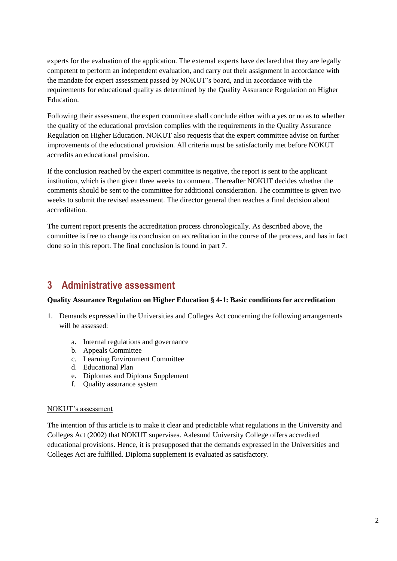experts for the evaluation of the application. The external experts have declared that they are legally competent to perform an independent evaluation, and carry out their assignment in accordance with the mandate for expert assessment passed by NOKUT's board, and in accordance with the requirements for educational quality as determined by the Quality Assurance Regulation on Higher Education.

Following their assessment, the expert committee shall conclude either with a yes or no as to whether the quality of the educational provision complies with the requirements in the Quality Assurance Regulation on Higher Education. NOKUT also requests that the expert committee advise on further improvements of the educational provision. All criteria must be satisfactorily met before NOKUT accredits an educational provision.

If the conclusion reached by the expert committee is negative, the report is sent to the applicant institution, which is then given three weeks to comment. Thereafter NOKUT decides whether the comments should be sent to the committee for additional consideration. The committee is given two weeks to submit the revised assessment. The director general then reaches a final decision about accreditation.

The current report presents the accreditation process chronologically. As described above, the committee is free to change its conclusion on accreditation in the course of the process, and has in fact done so in this report. The final conclusion is found in part 7.

# <span id="page-5-0"></span>**3 Administrative assessment**

#### **Quality Assurance Regulation on Higher Education § 4-1: Basic conditions for accreditation**

- 1. Demands expressed in the Universities and Colleges Act concerning the following arrangements will be assessed:
	- a. Internal regulations and governance
	- b. Appeals Committee
	- c. Learning Environment Committee
	- d. Educational Plan
	- e. Diplomas and Diploma Supplement
	- f. Quality assurance system

#### NOKUT's assessment

The intention of this article is to make it clear and predictable what regulations in the University and Colleges Act (2002) that NOKUT supervises. Aalesund University College offers accredited educational provisions. Hence, it is presupposed that the demands expressed in the Universities and Colleges Act are fulfilled. Diploma supplement is evaluated as satisfactory.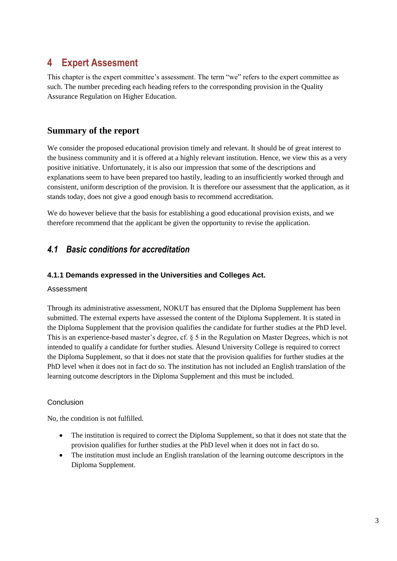# <span id="page-6-0"></span>**4 Expert Assesment**

This chapter is the expert committee's assessment. The term "we" refers to the expert committee as such. The number preceding each heading refers to the corresponding provision in the Quality Assurance Regulation on Higher Education.

# **Summary of the report**

We consider the proposed educational provision timely and relevant. It should be of great interest to the business community and it is offered at a highly relevant institution. Hence, we view this as a very positive initiative. Unfortunately, it is also our impression that some of the descriptions and explanations seem to have been prepared too hastily, leading to an insufficiently worked through and consistent, uniform description of the provision. It is therefore our assessment that the application, as it stands today, does not give a good enough basis to recommend accreditation.

We do however believe that the basis for establishing a good educational provision exists, and we therefore recommend that the applicant be given the opportunity to revise the application.

# <span id="page-6-1"></span>*4.1 Basic conditions for accreditation*

# **4.1.1 Demands expressed in the Universities and Colleges Act.**

#### Assessment

Through its administrative assessment, NOKUT has ensured that the Diploma Supplement has been submitted. The external experts have assessed the content of the Diploma Supplement. It is stated in the Diploma Supplement that the provision qualifies the candidate for further studies at the PhD level. This is an experience-based master's degree, cf. § 5 in the Regulation on Master Degrees, which is not intended to qualify a candidate for further studies. Ålesund University College is required to correct the Diploma Supplement, so that it does not state that the provision qualifies for further studies at the PhD level when it does not in fact do so. The institution has not included an English translation of the learning outcome descriptors in the Diploma Supplement and this must be included.

# Conclusion

No, the condition is not fulfilled.

- The institution is required to correct the Diploma Supplement, so that it does not state that the provision qualifies for further studies at the PhD level when it does not in fact do so.
- The institution must include an English translation of the learning outcome descriptors in the Diploma Supplement.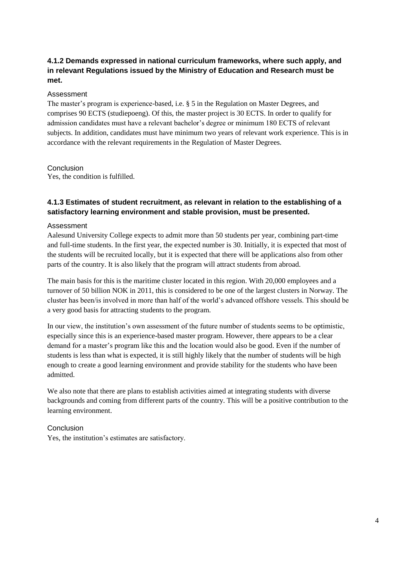# **4.1.2 Demands expressed in national curriculum frameworks, where such apply, and in relevant Regulations issued by the Ministry of Education and Research must be met.**

#### Assessment

The master's program is experience-based, i.e. § 5 in the Regulation on Master Degrees, and comprises 90 ECTS (studiepoeng). Of this, the master project is 30 ECTS. In order to qualify for admission candidates must have a relevant bachelor's degree or minimum 180 ECTS of relevant subjects. In addition, candidates must have minimum two years of relevant work experience. This is in accordance with the relevant requirements in the Regulation of Master Degrees.

### Conclusion

Yes, the condition is fulfilled.

# **4.1.3 Estimates of student recruitment, as relevant in relation to the establishing of a satisfactory learning environment and stable provision, must be presented.**

#### Assessment

Aalesund University College expects to admit more than 50 students per year, combining part-time and full-time students. In the first year, the expected number is 30. Initially, it is expected that most of the students will be recruited locally, but it is expected that there will be applications also from other parts of the country. It is also likely that the program will attract students from abroad.

The main basis for this is the maritime cluster located in this region. With 20,000 employees and a turnover of 50 billion NOK in 2011, this is considered to be one of the largest clusters in Norway. The cluster has been/is involved in more than half of the world's advanced offshore vessels. This should be a very good basis for attracting students to the program.

In our view, the institution's own assessment of the future number of students seems to be optimistic, especially since this is an experience-based master program. However, there appears to be a clear demand for a master's program like this and the location would also be good. Even if the number of students is less than what is expected, it is still highly likely that the number of students will be high enough to create a good learning environment and provide stability for the students who have been admitted.

We also note that there are plans to establish activities aimed at integrating students with diverse backgrounds and coming from different parts of the country. This will be a positive contribution to the learning environment.

# Conclusion

Yes, the institution's estimates are satisfactory.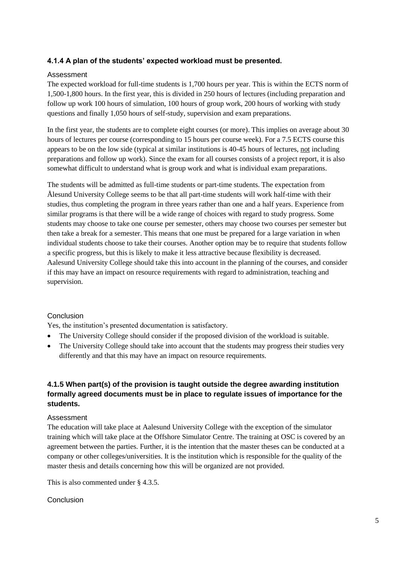# **4.1.4 A plan of the students' expected workload must be presented.**

#### Assessment

The expected workload for full-time students is 1,700 hours per year. This is within the ECTS norm of 1,500-1,800 hours. In the first year, this is divided in 250 hours of lectures (including preparation and follow up work 100 hours of simulation, 100 hours of group work, 200 hours of working with study questions and finally 1,050 hours of self-study, supervision and exam preparations.

In the first year, the students are to complete eight courses (or more). This implies on average about 30 hours of lectures per course (corresponding to 15 hours per course week). For a 7.5 ECTS course this appears to be on the low side (typical at similar institutions is 40-45 hours of lectures, not including preparations and follow up work). Since the exam for all courses consists of a project report, it is also somewhat difficult to understand what is group work and what is individual exam preparations.

The students will be admitted as full-time students or part-time students. The expectation from Ålesund University College seems to be that all part-time students will work half-time with their studies, thus completing the program in three years rather than one and a half years. Experience from similar programs is that there will be a wide range of choices with regard to study progress. Some students may choose to take one course per semester, others may choose two courses per semester but then take a break for a semester. This means that one must be prepared for a large variation in when individual students choose to take their courses. Another option may be to require that students follow a specific progress, but this is likely to make it less attractive because flexibility is decreased. Aalesund University College should take this into account in the planning of the courses, and consider if this may have an impact on resource requirements with regard to administration, teaching and supervision.

# Conclusion

Yes, the institution's presented documentation is satisfactory.

- The University College should consider if the proposed division of the workload is suitable.
- The University College should take into account that the students may progress their studies very differently and that this may have an impact on resource requirements.

# **4.1.5 When part(s) of the provision is taught outside the degree awarding institution formally agreed documents must be in place to regulate issues of importance for the students.**

#### Assessment

The education will take place at Aalesund University College with the exception of the simulator training which will take place at the Offshore Simulator Centre. The training at OSC is covered by an agreement between the parties. Further, it is the intention that the master theses can be conducted at a company or other colleges/universities. It is the institution which is responsible for the quality of the master thesis and details concerning how this will be organized are not provided.

This is also commented under § 4.3.5.

#### Conclusion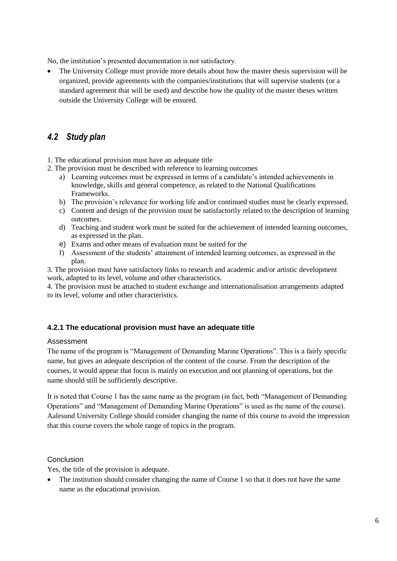No, the institution's presented documentation is not satisfactory.

 The University College must provide more details about how the master thesis supervision will be organized, provide agreements with the companies/institutions that will supervise students (or a standard agreement that will be used) and describe how the quality of the master theses written outside the University College will be ensured.

# <span id="page-9-0"></span>*4.2 Study plan*

1. The educational provision must have an adequate title

- 2. The provision must be described with reference to learning outcomes
	- a) Learning outcomes must be expressed in terms of a candidate's intended achievements in knowledge, skills and general competence, as related to the National Qualifications Frameworks.
	- b) The provision's relevance for working life and/or continued studies must be clearly expressed.
	- c) Content and design of the provision must be satisfactorily related to the description of learning outcomes.
	- d) Teaching and student work must be suited for the achievement of intended learning outcomes, as expressed in the plan.
	- e) Exams and other means of evaluation must be suited for the
	- f) Assessment of the students' attainment of intended learning outcomes, as expressed in the plan.

3. The provision must have satisfactory links to research and academic and/or artistic development work, adapted to its level, volume and other characteristics.

4. The provision must be attached to student exchange and internationalisation arrangements adapted to its level, volume and other characteristics.

#### **4.2.1 The educational provision must have an adequate title**

#### Assessment

The name of the program is "Management of Demanding Marine Operations". This is a fairly specific name, but gives an adequate description of the content of the course. From the description of the courses, it would appear that focus is mainly on execution and not planning of operations, but the name should still be sufficiently descriptive.

It is noted that Course 1 has the same name as the program (in fact, both "Management of Demanding Operations" and "Management of Demanding Marine Operations" is used as the name of the course). Aalesund University College should consider changing the name of this course to avoid the impression that this course covers the whole range of topics in the program.

#### Conclusion

Yes, the title of the provision is adequate.

• The institution should consider changing the name of Course 1 so that it does not have the same name as the educational provision.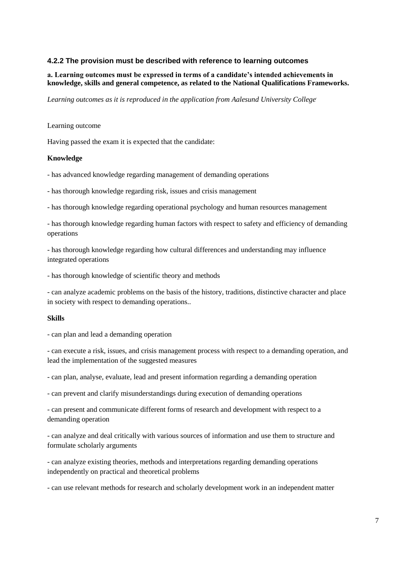#### **4.2.2 The provision must be described with reference to learning outcomes**

#### **a. Learning outcomes must be expressed in terms of a candidate's intended achievements in knowledge, skills and general competence, as related to the National Qualifications Frameworks.**

*Learning outcomes as it is reproduced in the application from Aalesund University College.* 

#### Learning outcome

Having passed the exam it is expected that the candidate:

#### **Knowledge**

- has advanced knowledge regarding management of demanding operations

- has thorough knowledge regarding risk, issues and crisis management

- has thorough knowledge regarding operational psychology and human resources management

- has thorough knowledge regarding human factors with respect to safety and efficiency of demanding operations

- has thorough knowledge regarding how cultural differences and understanding may influence integrated operations

- has thorough knowledge of scientific theory and methods

- can analyze academic problems on the basis of the history, traditions, distinctive character and place in society with respect to demanding operations..

#### **Skills**

- can plan and lead a demanding operation

- can execute a risk, issues, and crisis management process with respect to a demanding operation, and lead the implementation of the suggested measures

- can plan, analyse, evaluate, lead and present information regarding a demanding operation

- can prevent and clarify misunderstandings during execution of demanding operations

- can present and communicate different forms of research and development with respect to a demanding operation

- can analyze and deal critically with various sources of information and use them to structure and formulate scholarly arguments

- can analyze existing theories, methods and interpretations regarding demanding operations independently on practical and theoretical problems

- can use relevant methods for research and scholarly development work in an independent matter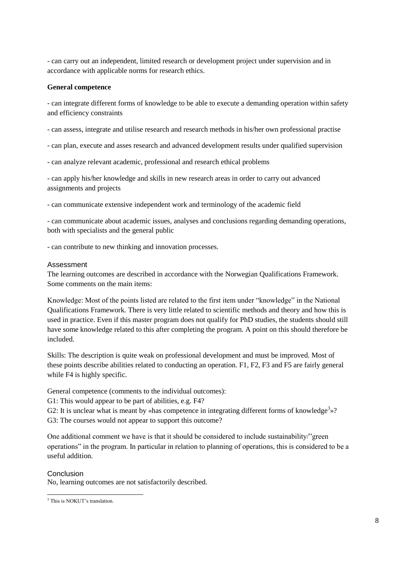- can carry out an independent, limited research or development project under supervision and in accordance with applicable norms for research ethics.

#### **General competence**

- can integrate different forms of knowledge to be able to execute a demanding operation within safety and efficiency constraints

- can assess, integrate and utilise research and research methods in his/her own professional practise

- can plan, execute and asses research and advanced development results under qualified supervision
- can analyze relevant academic, professional and research ethical problems

- can apply his/her knowledge and skills in new research areas in order to carry out advanced assignments and projects

- can communicate extensive independent work and terminology of the academic field

- can communicate about academic issues, analyses and conclusions regarding demanding operations, both with specialists and the general public

- can contribute to new thinking and innovation processes.

#### Assessment

The learning outcomes are described in accordance with the Norwegian Qualifications Framework. Some comments on the main items:

Knowledge: Most of the points listed are related to the first item under "knowledge" in the National Qualifications Framework. There is very little related to scientific methods and theory and how this is used in practice. Even if this master program does not qualify for PhD studies, the students should still have some knowledge related to this after completing the program. A point on this should therefore be included.

Skills: The description is quite weak on professional development and must be improved. Most of these points describe abilities related to conducting an operation. F1, F2, F3 and F5 are fairly general while F4 is highly specific.

General competence (comments to the individual outcomes):

G1: This would appear to be part of abilities, e.g. F4?

G2: It is unclear what is meant by «has competence in integrating different forms of knowledge<sup>3</sup>»? G3: The courses would not appear to support this outcome?

One additional comment we have is that it should be considered to include sustainability/"green operations" in the program. In particular in relation to planning of operations, this is considered to be a useful addition.

#### Conclusion

 $\overline{\phantom{a}}$ 

No, learning outcomes are not satisfactorily described.

<sup>&</sup>lt;sup>3</sup> This is NOKUT's translation.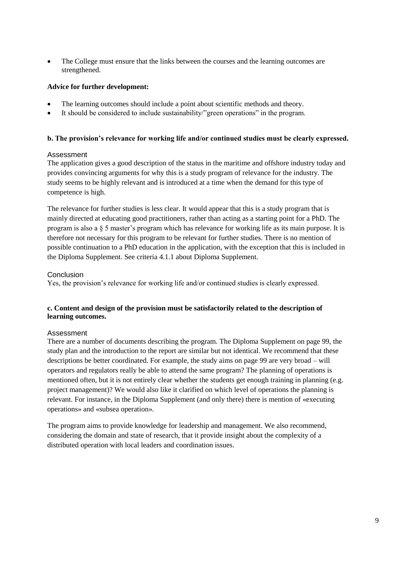The College must ensure that the links between the courses and the learning outcomes are strengthened.

#### **Advice for further development:**

- The learning outcomes should include a point about scientific methods and theory.
- It should be considered to include sustainability/"green operations" in the program.

#### **b. The provision's relevance for working life and/or continued studies must be clearly expressed.**

#### Assessment

The application gives a good description of the status in the maritime and offshore industry today and provides convincing arguments for why this is a study program of relevance for the industry. The study seems to be highly relevant and is introduced at a time when the demand for this type of competence is high.

The relevance for further studies is less clear. It would appear that this is a study program that is mainly directed at educating good practitioners, rather than acting as a starting point for a PhD. The program is also a § 5 master's program which has relevance for working life as its main purpose. It is therefore not necessary for this program to be relevant for further studies. There is no mention of possible continuation to a PhD education in the application, with the exception that this is included in the Diploma Supplement. See criteria 4.1.1 about Diploma Supplement.

#### Conclusion

Yes, the provision's relevance for working life and/or continued studies is clearly expressed.

#### **c. Content and design of the provision must be satisfactorily related to the description of learning outcomes.**

#### Assessment

There are a number of documents describing the program. The Diploma Supplement on page 99, the study plan and the introduction to the report are similar but not identical. We recommend that these descriptions be better coordinated. For example, the study aims on page 99 are very broad – will operators and regulators really be able to attend the same program? The planning of operations is mentioned often, but it is not entirely clear whether the students get enough training in planning (e.g. project management)? We would also like it clarified on which level of operations the planning is relevant. For instance, in the Diploma Supplement (and only there) there is mention of «executing operations» and «subsea operation».

The program aims to provide knowledge for leadership and management. We also recommend, considering the domain and state of research, that it provide insight about the complexity of a distributed operation with local leaders and coordination issues.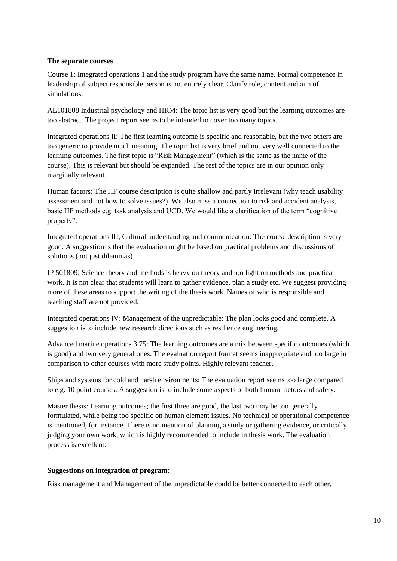#### **The separate courses**

Course 1: Integrated operations 1 and the study program have the same name. Formal competence in leadership of subject responsible person is not entirely clear. Clarify role, content and aim of simulations.

AL101808 Industrial psychology and HRM: The topic list is very good but the learning outcomes are too abstract. The project report seems to be intended to cover too many topics.

Integrated operations II: The first learning outcome is specific and reasonable, but the two others are too generic to provide much meaning. The topic list is very brief and not very well connected to the learning outcomes. The first topic is "Risk Management" (which is the same as the name of the course). This is relevant but should be expanded. The rest of the topics are in our opinion only marginally relevant.

Human factors: The HF course description is quite shallow and partly irrelevant (why teach usability assessment and not how to solve issues?). We also miss a connection to risk and accident analysis, basic HF methods e.g. task analysis and UCD. We would like a clarification of the term "cognitive property".

Integrated operations III, Cultural understanding and communication: The course description is very good. A suggestion is that the evaluation might be based on practical problems and discussions of solutions (not just dilemmas).

IP 501809: Science theory and methods is heavy on theory and too light on methods and practical work. It is not clear that students will learn to gather evidence, plan a study etc. We suggest providing more of these areas to support the writing of the thesis work. Names of who is responsible and teaching staff are not provided.

Integrated operations IV: Management of the unpredictable: The plan looks good and complete. A suggestion is to include new research directions such as resilience engineering.

Advanced marine operations 3.75: The learning outcomes are a mix between specific outcomes (which is good) and two very general ones. The evaluation report format seems inappropriate and too large in comparison to other courses with more study points. Highly relevant teacher.

Ships and systems for cold and harsh environments: The evaluation report seems too large compared to e.g. 10 point courses. A suggestion is to include some aspects of both human factors and safety.

Master thesis: Learning outcomes; the first three are good, the last two may be too generally formulated, while being too specific on human element issues. No technical or operational competence is mentioned, for instance. There is no mention of planning a study or gathering evidence, or critically judging your own work, which is highly recommended to include in thesis work. The evaluation process is excellent.

#### **Suggestions on integration of program:**

Risk management and Management of the unpredictable could be better connected to each other.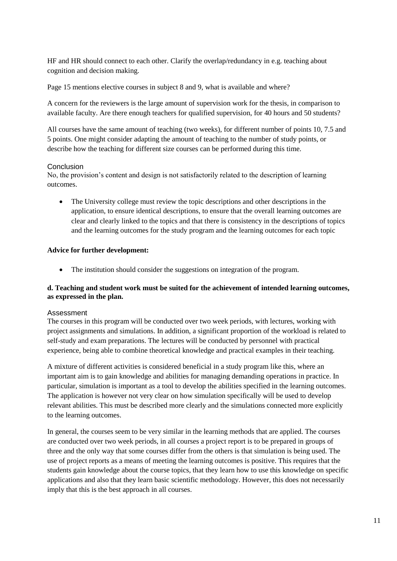HF and HR should connect to each other. Clarify the overlap/redundancy in e.g. teaching about cognition and decision making.

Page 15 mentions elective courses in subject 8 and 9, what is available and where?

A concern for the reviewers is the large amount of supervision work for the thesis, in comparison to available faculty. Are there enough teachers for qualified supervision, for 40 hours and 50 students?

All courses have the same amount of teaching (two weeks), for different number of points 10, 7.5 and 5 points. One might consider adapting the amount of teaching to the number of study points, or describe how the teaching for different size courses can be performed during this time.

#### **Conclusion**

No, the provision's content and design is not satisfactorily related to the description of learning outcomes.

 The University college must review the topic descriptions and other descriptions in the application, to ensure identical descriptions, to ensure that the overall learning outcomes are clear and clearly linked to the topics and that there is consistency in the descriptions of topics and the learning outcomes for the study program and the learning outcomes for each topic

#### **Advice for further development:**

• The institution should consider the suggestions on integration of the program.

#### **d. Teaching and student work must be suited for the achievement of intended learning outcomes, as expressed in the plan.**

#### Assessment

The courses in this program will be conducted over two week periods, with lectures, working with project assignments and simulations. In addition, a significant proportion of the workload is related to self-study and exam preparations. The lectures will be conducted by personnel with practical experience, being able to combine theoretical knowledge and practical examples in their teaching.

A mixture of different activities is considered beneficial in a study program like this, where an important aim is to gain knowledge and abilities for managing demanding operations in practice. In particular, simulation is important as a tool to develop the abilities specified in the learning outcomes. The application is however not very clear on how simulation specifically will be used to develop relevant abilities. This must be described more clearly and the simulations connected more explicitly to the learning outcomes.

In general, the courses seem to be very similar in the learning methods that are applied. The courses are conducted over two week periods, in all courses a project report is to be prepared in groups of three and the only way that some courses differ from the others is that simulation is being used. The use of project reports as a means of meeting the learning outcomes is positive. This requires that the students gain knowledge about the course topics, that they learn how to use this knowledge on specific applications and also that they learn basic scientific methodology. However, this does not necessarily imply that this is the best approach in all courses.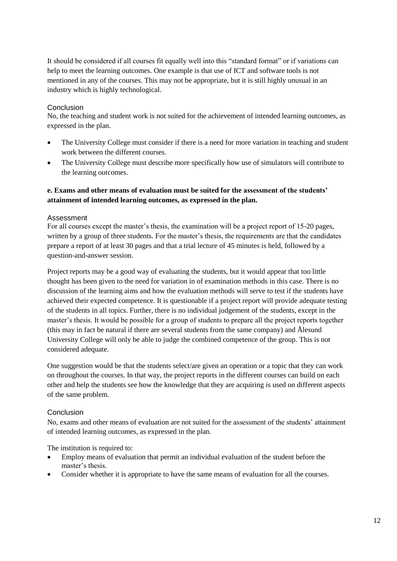It should be considered if all courses fit equally well into this "standard format" or if variations can help to meet the learning outcomes. One example is that use of ICT and software tools is not mentioned in any of the courses. This may not be appropriate, but it is still highly unusual in an industry which is highly technological.

#### **Conclusion**

No, the teaching and student work is not suited for the achievement of intended learning outcomes, as expressed in the plan.

- The University College must consider if there is a need for more variation in teaching and student work between the different courses.
- The University College must describe more specifically how use of simulators will contribute to the learning outcomes.

### **e. Exams and other means of evaluation must be suited for the assessment of the students' attainment of intended learning outcomes, as expressed in the plan.**

#### Assessment

For all courses except the master's thesis, the examination will be a project report of 15-20 pages, written by a group of three students. For the master's thesis, the requirements are that the candidates prepare a report of at least 30 pages and that a trial lecture of 45 minutes is held, followed by a question-and-answer session.

Project reports may be a good way of evaluating the students, but it would appear that too little thought has been given to the need for variation in of examination methods in this case. There is no discussion of the learning aims and how the evaluation methods will serve to test if the students have achieved their expected competence. It is questionable if a project report will provide adequate testing of the students in all topics. Further, there is no individual judgement of the students, except in the master's thesis. It would be possible for a group of students to prepare all the project reports together (this may in fact be natural if there are several students from the same company) and Ålesund University College will only be able to judge the combined competence of the group. This is not considered adequate.

One suggestion would be that the students select/are given an operation or a topic that they can work on throughout the courses. In that way, the project reports in the different courses can build on each other and help the students see how the knowledge that they are acquiring is used on different aspects of the same problem.

#### **Conclusion**

No, exams and other means of evaluation are not suited for the assessment of the students' attainment of intended learning outcomes, as expressed in the plan.

The institution is required to:

- Employ means of evaluation that permit an individual evaluation of the student before the master's thesis.
- Consider whether it is appropriate to have the same means of evaluation for all the courses.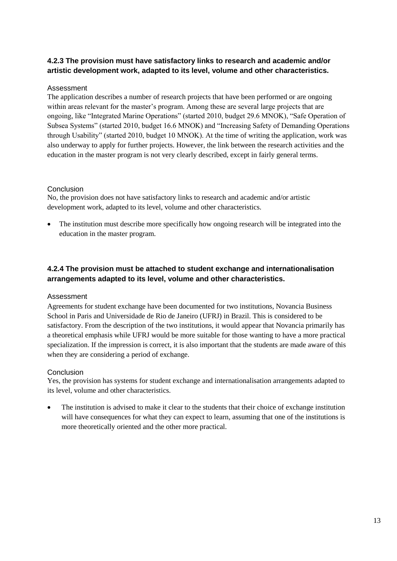# **4.2.3 The provision must have satisfactory links to research and academic and/or artistic development work, adapted to its level, volume and other characteristics.**

### Assessment

The application describes a number of research projects that have been performed or are ongoing within areas relevant for the master's program. Among these are several large projects that are ongoing, like "Integrated Marine Operations" (started 2010, budget 29.6 MNOK), "Safe Operation of Subsea Systems" (started 2010, budget 16.6 MNOK) and "Increasing Safety of Demanding Operations through Usability" (started 2010, budget 10 MNOK). At the time of writing the application, work was also underway to apply for further projects. However, the link between the research activities and the education in the master program is not very clearly described, except in fairly general terms.

### Conclusion

No, the provision does not have satisfactory links to research and academic and/or artistic development work, adapted to its level, volume and other characteristics.

 The institution must describe more specifically how ongoing research will be integrated into the education in the master program.

# **4.2.4 The provision must be attached to student exchange and internationalisation arrangements adapted to its level, volume and other characteristics.**

#### Assessment

Agreements for student exchange have been documented for two institutions, Novancia Business School in Paris and Universidade de Rio de Janeiro (UFRJ) in Brazil. This is considered to be satisfactory. From the description of the two institutions, it would appear that Novancia primarily has a theoretical emphasis while UFRJ would be more suitable for those wanting to have a more practical specialization. If the impression is correct, it is also important that the students are made aware of this when they are considering a period of exchange.

#### **Conclusion**

Yes, the provision has systems for student exchange and internationalisation arrangements adapted to its level, volume and other characteristics.

 The institution is advised to make it clear to the students that their choice of exchange institution will have consequences for what they can expect to learn, assuming that one of the institutions is more theoretically oriented and the other more practical.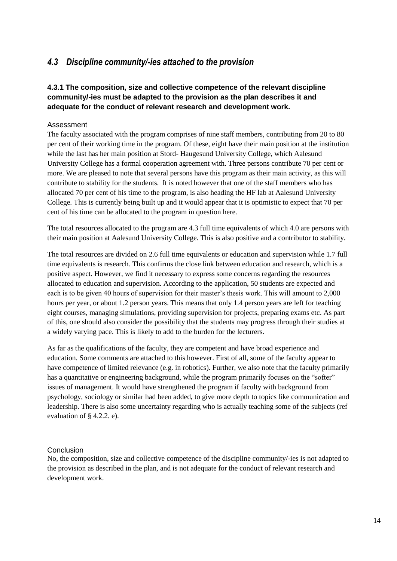# <span id="page-17-0"></span>*4.3 Discipline community/-ies attached to the provision*

# **4.3.1 The composition, size and collective competence of the relevant discipline community/-ies must be adapted to the provision as the plan describes it and adequate for the conduct of relevant research and development work.**

#### Assessment

The faculty associated with the program comprises of nine staff members, contributing from 20 to 80 per cent of their working time in the program. Of these, eight have their main position at the institution while the last has her main position at Stord- Haugesund University College, which Aalesund University College has a formal cooperation agreement with. Three persons contribute 70 per cent or more. We are pleased to note that several persons have this program as their main activity, as this will contribute to stability for the students. It is noted however that one of the staff members who has allocated 70 per cent of his time to the program, is also heading the HF lab at Aalesund University College. This is currently being built up and it would appear that it is optimistic to expect that 70 per cent of his time can be allocated to the program in question here.

The total resources allocated to the program are 4.3 full time equivalents of which 4.0 are persons with their main position at Aalesund University College. This is also positive and a contributor to stability.

The total resources are divided on 2.6 full time equivalents or education and supervision while 1.7 full time equivalents is research. This confirms the close link between education and research, which is a positive aspect. However, we find it necessary to express some concerns regarding the resources allocated to education and supervision. According to the application, 50 students are expected and each is to be given 40 hours of supervision for their master's thesis work. This will amount to 2,000 hours per year, or about 1.2 person years. This means that only 1.4 person years are left for teaching eight courses, managing simulations, providing supervision for projects, preparing exams etc. As part of this, one should also consider the possibility that the students may progress through their studies at a widely varying pace. This is likely to add to the burden for the lecturers.

As far as the qualifications of the faculty, they are competent and have broad experience and education. Some comments are attached to this however. First of all, some of the faculty appear to have competence of limited relevance (e.g. in robotics). Further, we also note that the faculty primarily has a quantitative or engineering background, while the program primarily focuses on the "softer" issues of management. It would have strengthened the program if faculty with background from psychology, sociology or similar had been added, to give more depth to topics like communication and leadership. There is also some uncertainty regarding who is actually teaching some of the subjects (ref evaluation of § 4.2.2. e).

#### Conclusion

No, the composition, size and collective competence of the discipline community/-ies is not adapted to the provision as described in the plan, and is not adequate for the conduct of relevant research and development work.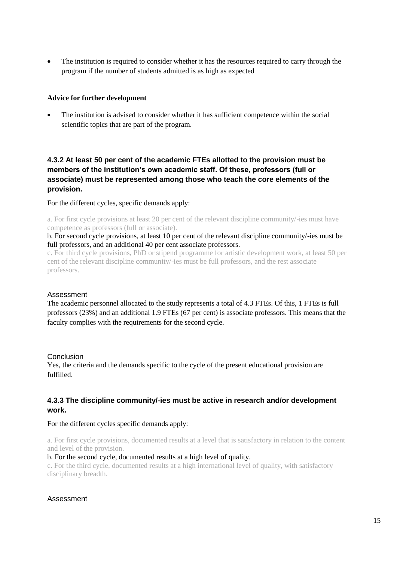The institution is required to consider whether it has the resources required to carry through the program if the number of students admitted is as high as expected

#### **Advice for further development**

 The institution is advised to consider whether it has sufficient competence within the social scientific topics that are part of the program.

# **4.3.2 At least 50 per cent of the academic FTEs allotted to the provision must be members of the institution's own academic staff. Of these, professors (full or associate) must be represented among those who teach the core elements of the provision.**

For the different cycles, specific demands apply:

a. For first cycle provisions at least 20 per cent of the relevant discipline community/-ies must have competence as professors (full or associate).

b. For second cycle provisions, at least 10 per cent of the relevant discipline community/-ies must be full professors, and an additional 40 per cent associate professors.

c. For third cycle provisions, PhD or stipend programme for artistic development work, at least 50 per cent of the relevant discipline community/-ies must be full professors, and the rest associate professors.

#### Assessment

The academic personnel allocated to the study represents a total of 4.3 FTEs. Of this, 1 FTEs is full professors (23%) and an additional 1.9 FTEs (67 per cent) is associate professors. This means that the faculty complies with the requirements for the second cycle.

#### **Conclusion**

Yes, the criteria and the demands specific to the cycle of the present educational provision are fulfilled.

### **4.3.3 The discipline community/-ies must be active in research and/or development work.**

#### For the different cycles specific demands apply:

a. For first cycle provisions, documented results at a level that is satisfactory in relation to the content and level of the provision.

#### b. For the second cycle, documented results at a high level of quality.

c. For the third cycle, documented results at a high international level of quality, with satisfactory disciplinary breadth.

#### Assessment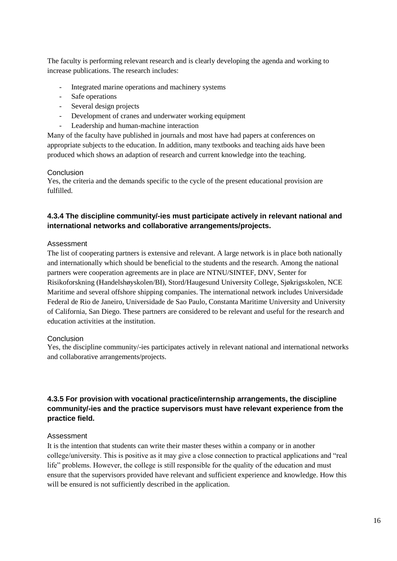The faculty is performing relevant research and is clearly developing the agenda and working to increase publications. The research includes:

- Integrated marine operations and machinery systems
- Safe operations
- Several design projects
- Development of cranes and underwater working equipment
- Leadership and human-machine interaction

Many of the faculty have published in journals and most have had papers at conferences on appropriate subjects to the education. In addition, many textbooks and teaching aids have been produced which shows an adaption of research and current knowledge into the teaching.

#### Conclusion

Yes, the criteria and the demands specific to the cycle of the present educational provision are fulfilled.

### **4.3.4 The discipline community/-ies must participate actively in relevant national and international networks and collaborative arrangements/projects.**

#### Assessment

The list of cooperating partners is extensive and relevant. A large network is in place both nationally and internationally which should be beneficial to the students and the research. Among the national partners were cooperation agreements are in place are NTNU/SINTEF, DNV, Senter for Risikoforskning (Handelshøyskolen/BI), Stord/Haugesund University College, Sjøkrigsskolen, NCE Maritime and several offshore shipping companies. The international network includes Universidade Federal de Rio de Janeiro, Universidade de Sao Paulo, Constanta Maritime University and University of California, San Diego. These partners are considered to be relevant and useful for the research and education activities at the institution.

#### Conclusion

Yes, the discipline community/-ies participates actively in relevant national and international networks and collaborative arrangements/projects.

### **4.3.5 For provision with vocational practice/internship arrangements, the discipline community/-ies and the practice supervisors must have relevant experience from the practice field.**

#### Assessment

It is the intention that students can write their master theses within a company or in another college/university. This is positive as it may give a close connection to practical applications and "real life" problems. However, the college is still responsible for the quality of the education and must ensure that the supervisors provided have relevant and sufficient experience and knowledge. How this will be ensured is not sufficiently described in the application.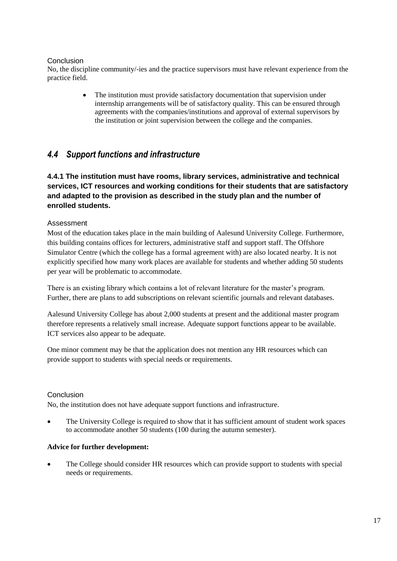#### **Conclusion**

No, the discipline community/-ies and the practice supervisors must have relevant experience from the practice field.

> • The institution must provide satisfactory documentation that supervision under internship arrangements will be of satisfactory quality. This can be ensured through agreements with the companies/institutions and approval of external supervisors by the institution or joint supervision between the college and the companies.

# <span id="page-20-0"></span>*4.4 Support functions and infrastructure*

# **4.4.1 The institution must have rooms, library services, administrative and technical services, ICT resources and working conditions for their students that are satisfactory and adapted to the provision as described in the study plan and the number of enrolled students.**

### Assessment

Most of the education takes place in the main building of Aalesund University College. Furthermore, this building contains offices for lecturers, administrative staff and support staff. The Offshore Simulator Centre (which the college has a formal agreement with) are also located nearby. It is not explicitly specified how many work places are available for students and whether adding 50 students per year will be problematic to accommodate.

There is an existing library which contains a lot of relevant literature for the master's program. Further, there are plans to add subscriptions on relevant scientific journals and relevant databases.

Aalesund University College has about 2,000 students at present and the additional master program therefore represents a relatively small increase. Adequate support functions appear to be available. ICT services also appear to be adequate.

One minor comment may be that the application does not mention any HR resources which can provide support to students with special needs or requirements.

#### **Conclusion**

No, the institution does not have adequate support functions and infrastructure.

 The University College is required to show that it has sufficient amount of student work spaces to accommodate another 50 students (100 during the autumn semester).

#### **Advice for further development:**

 The College should consider HR resources which can provide support to students with special needs or requirements.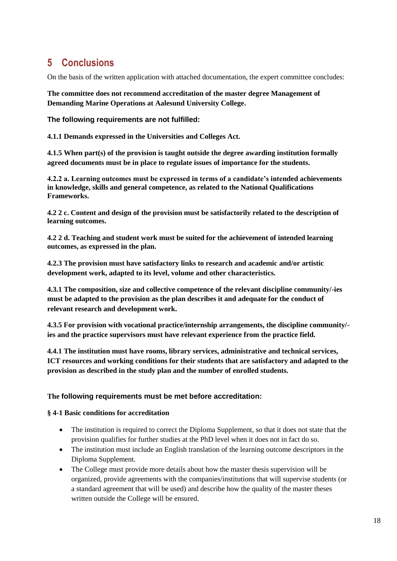# <span id="page-21-0"></span>**5 Conclusions**

On the basis of the written application with attached documentation, the expert committee concludes:

**The committee does not recommend accreditation of the master degree Management of Demanding Marine Operations at Aalesund University College.** 

**The following requirements are not fulfilled:** 

**4.1.1 Demands expressed in the Universities and Colleges Act.**

**4.1.5 When part(s) of the provision is taught outside the degree awarding institution formally agreed documents must be in place to regulate issues of importance for the students.** 

**4.2.2 a. Learning outcomes must be expressed in terms of a candidate's intended achievements in knowledge, skills and general competence, as related to the National Qualifications Frameworks.**

**4.2 2 c. Content and design of the provision must be satisfactorily related to the description of learning outcomes.**

**4.2 2 d. Teaching and student work must be suited for the achievement of intended learning outcomes, as expressed in the plan.** 

**4.2.3 The provision must have satisfactory links to research and academic and/or artistic development work, adapted to its level, volume and other characteristics.**

**4.3.1 The composition, size and collective competence of the relevant discipline community/-ies must be adapted to the provision as the plan describes it and adequate for the conduct of relevant research and development work.**

**4.3.5 For provision with vocational practice/internship arrangements, the discipline community/ ies and the practice supervisors must have relevant experience from the practice field.**

**4.4.1 The institution must have rooms, library services, administrative and technical services, ICT resources and working conditions for their students that are satisfactory and adapted to the provision as described in the study plan and the number of enrolled students.** 

# **The following requirements must be met before accreditation:**

#### **§ 4-1 Basic conditions for accreditation**

- The institution is required to correct the Diploma Supplement, so that it does not state that the provision qualifies for further studies at the PhD level when it does not in fact do so.
- The institution must include an English translation of the learning outcome descriptors in the Diploma Supplement.
- The College must provide more details about how the master thesis supervision will be organized, provide agreements with the companies/institutions that will supervise students (or a standard agreement that will be used) and describe how the quality of the master theses written outside the College will be ensured.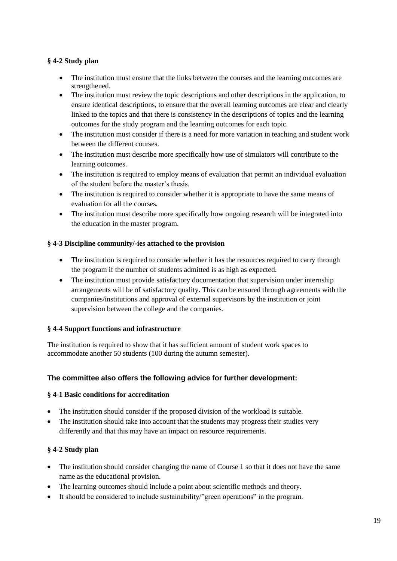# **§ 4-2 Study plan**

- The institution must ensure that the links between the courses and the learning outcomes are strengthened.
- The institution must review the topic descriptions and other descriptions in the application, to ensure identical descriptions, to ensure that the overall learning outcomes are clear and clearly linked to the topics and that there is consistency in the descriptions of topics and the learning outcomes for the study program and the learning outcomes for each topic.
- The institution must consider if there is a need for more variation in teaching and student work between the different courses.
- The institution must describe more specifically how use of simulators will contribute to the learning outcomes.
- The institution is required to employ means of evaluation that permit an individual evaluation of the student before the master's thesis.
- The institution is required to consider whether it is appropriate to have the same means of evaluation for all the courses.
- The institution must describe more specifically how ongoing research will be integrated into the education in the master program.

### **§ 4-3 Discipline community/-ies attached to the provision**

- The institution is required to consider whether it has the resources required to carry through the program if the number of students admitted is as high as expected.
- The institution must provide satisfactory documentation that supervision under internship arrangements will be of satisfactory quality. This can be ensured through agreements with the companies/institutions and approval of external supervisors by the institution or joint supervision between the college and the companies.

#### **§ 4-4 Support functions and infrastructure**

The institution is required to show that it has sufficient amount of student work spaces to accommodate another 50 students (100 during the autumn semester).

# **The committee also offers the following advice for further development:**

#### **§ 4-1 Basic conditions for accreditation**

- The institution should consider if the proposed division of the workload is suitable.
- The institution should take into account that the students may progress their studies very differently and that this may have an impact on resource requirements.

#### **§ 4-2 Study plan**

- The institution should consider changing the name of Course 1 so that it does not have the same name as the educational provision.
- The learning outcomes should include a point about scientific methods and theory.
- It should be considered to include sustainability/"green operations" in the program.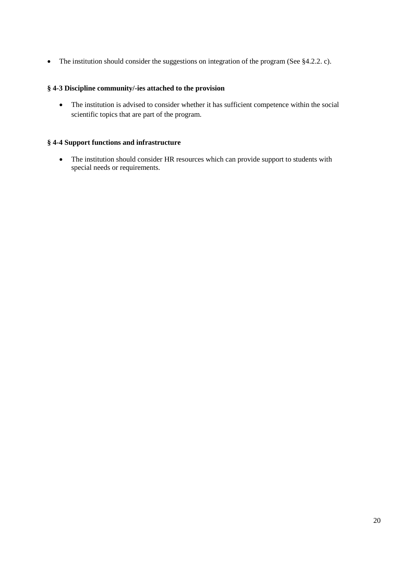• The institution should consider the suggestions on integration of the program (See §4.2.2. c).

#### **§ 4-3 Discipline community/-ies attached to the provision**

 The institution is advised to consider whether it has sufficient competence within the social scientific topics that are part of the program.

#### **§ 4-4 Support functions and infrastructure**

 The institution should consider HR resources which can provide support to students with special needs or requirements.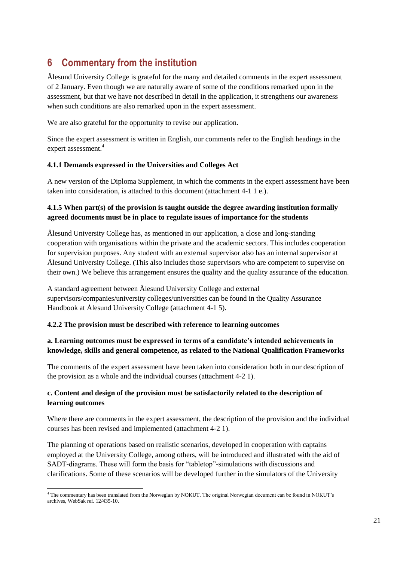# <span id="page-24-0"></span>**6 Commentary from the institution**

Ålesund University College is grateful for the many and detailed comments in the expert assessment of 2 January. Even though we are naturally aware of some of the conditions remarked upon in the assessment, but that we have not described in detail in the application, it strengthens our awareness when such conditions are also remarked upon in the expert assessment.

We are also grateful for the opportunity to revise our application.

Since the expert assessment is written in English, our comments refer to the English headings in the expert assessment.<sup>4</sup>

#### **4.1.1 Demands expressed in the Universities and Colleges Act**

A new version of the Diploma Supplement, in which the comments in the expert assessment have been taken into consideration, is attached to this document (attachment 4-1 1 e.).

# **4.1.5 When part(s) of the provision is taught outside the degree awarding institution formally agreed documents must be in place to regulate issues of importance for the students**

Ålesund University College has, as mentioned in our application, a close and long-standing cooperation with organisations within the private and the academic sectors. This includes cooperation for supervision purposes. Any student with an external supervisor also has an internal supervisor at Ålesund University College. (This also includes those supervisors who are competent to supervise on their own.) We believe this arrangement ensures the quality and the quality assurance of the education.

A standard agreement between Ålesund University College and external supervisors/companies/university colleges/universities can be found in the Quality Assurance Handbook at Ålesund University College (attachment 4-1 5).

#### **4.2.2 The provision must be described with reference to learning outcomes**

### **a. Learning outcomes must be expressed in terms of a candidate's intended achievements in knowledge, skills and general competence, as related to the National Qualification Frameworks**

The comments of the expert assessment have been taken into consideration both in our description of the provision as a whole and the individual courses (attachment 4-2 1).

# **c. Content and design of the provision must be satisfactorily related to the description of learning outcomes**

Where there are comments in the expert assessment, the description of the provision and the individual courses has been revised and implemented (attachment 4-2 1).

The planning of operations based on realistic scenarios, developed in cooperation with captains employed at the University College, among others, will be introduced and illustrated with the aid of SADT-diagrams. These will form the basis for "tabletop"-simulations with discussions and clarifications. Some of these scenarios will be developed further in the simulators of the University

l <sup>4</sup> The commentary has been translated from the Norwegian by NOKUT. The original Norwegian document can be found in NOKUT's archives, WebSak ref. 12/435-10.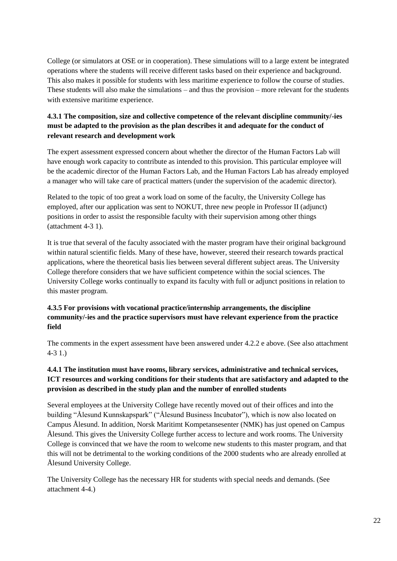College (or simulators at OSE or in cooperation). These simulations will to a large extent be integrated operations where the students will receive different tasks based on their experience and background. This also makes it possible for students with less maritime experience to follow the course of studies. These students will also make the simulations – and thus the provision – more relevant for the students with extensive maritime experience.

# **4.3.1 The composition, size and collective competence of the relevant discipline community/-ies must be adapted to the provision as the plan describes it and adequate for the conduct of relevant research and development work**

The expert assessment expressed concern about whether the director of the Human Factors Lab will have enough work capacity to contribute as intended to this provision. This particular employee will be the academic director of the Human Factors Lab, and the Human Factors Lab has already employed a manager who will take care of practical matters (under the supervision of the academic director).

Related to the topic of too great a work load on some of the faculty, the University College has employed, after our application was sent to NOKUT, three new people in Professor II (adjunct) positions in order to assist the responsible faculty with their supervision among other things (attachment 4-3 1).

It is true that several of the faculty associated with the master program have their original background within natural scientific fields. Many of these have, however, steered their research towards practical applications, where the theoretical basis lies between several different subject areas. The University College therefore considers that we have sufficient competence within the social sciences. The University College works continually to expand its faculty with full or adjunct positions in relation to this master program.

### **4.3.5 For provisions with vocational practice/internship arrangements, the discipline community/-ies and the practice supervisors must have relevant experience from the practice field**

The comments in the expert assessment have been answered under 4.2.2 e above. (See also attachment 4-3 1.)

# **4.4.1 The institution must have rooms, library services, administrative and technical services, ICT resources and working conditions for their students that are satisfactory and adapted to the provision as described in the study plan and the number of enrolled students**

Several employees at the University College have recently moved out of their offices and into the building "Ålesund Kunnskapspark" ("Ålesund Business Incubator"), which is now also located on Campus Ålesund. In addition, Norsk Maritimt Kompetansesenter (NMK) has just opened on Campus Ålesund. This gives the University College further access to lecture and work rooms. The University College is convinced that we have the room to welcome new students to this master program, and that this will not be detrimental to the working conditions of the 2000 students who are already enrolled at Ålesund University College.

The University College has the necessary HR for students with special needs and demands. (See attachment 4-4.)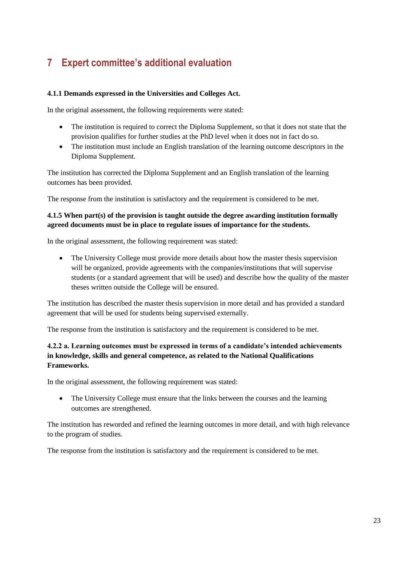# <span id="page-26-0"></span>**7 Expert committee's additional evaluation**

#### **4.1.1 Demands expressed in the Universities and Colleges Act.**

In the original assessment, the following requirements were stated:

- The institution is required to correct the Diploma Supplement, so that it does not state that the provision qualifies for further studies at the PhD level when it does not in fact do so.
- The institution must include an English translation of the learning outcome descriptors in the Diploma Supplement.

The institution has corrected the Diploma Supplement and an English translation of the learning outcomes has been provided.

The response from the institution is satisfactory and the requirement is considered to be met.

### **4.1.5 When part(s) of the provision is taught outside the degree awarding institution formally agreed documents must be in place to regulate issues of importance for the students.**

In the original assessment, the following requirement was stated:

• The University College must provide more details about how the master thesis supervision will be organized, provide agreements with the companies/institutions that will supervise students (or a standard agreement that will be used) and describe how the quality of the master theses written outside the College will be ensured.

The institution has described the master thesis supervision in more detail and has provided a standard agreement that will be used for students being supervised externally.

The response from the institution is satisfactory and the requirement is considered to be met.

### **4.2.2 a. Learning outcomes must be expressed in terms of a candidate's intended achievements in knowledge, skills and general competence, as related to the National Qualifications Frameworks.**

In the original assessment, the following requirement was stated:

• The University College must ensure that the links between the courses and the learning outcomes are strengthened.

The institution has reworded and refined the learning outcomes in more detail, and with high relevance to the program of studies.

The response from the institution is satisfactory and the requirement is considered to be met.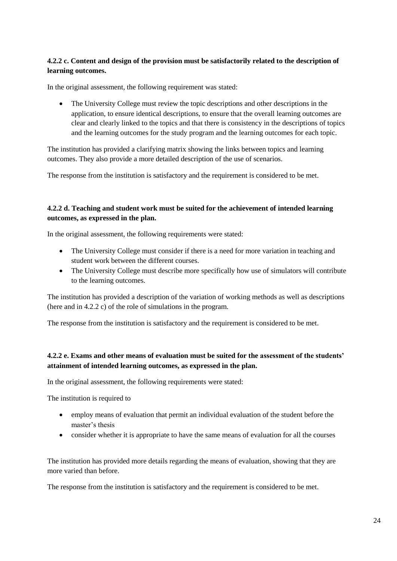### **4.2.2 c. Content and design of the provision must be satisfactorily related to the description of learning outcomes.**

In the original assessment, the following requirement was stated:

 The University College must review the topic descriptions and other descriptions in the application, to ensure identical descriptions, to ensure that the overall learning outcomes are clear and clearly linked to the topics and that there is consistency in the descriptions of topics and the learning outcomes for the study program and the learning outcomes for each topic.

The institution has provided a clarifying matrix showing the links between topics and learning outcomes. They also provide a more detailed description of the use of scenarios.

The response from the institution is satisfactory and the requirement is considered to be met.

#### **4.2.2 d. Teaching and student work must be suited for the achievement of intended learning outcomes, as expressed in the plan.**

In the original assessment, the following requirements were stated:

- The University College must consider if there is a need for more variation in teaching and student work between the different courses.
- The University College must describe more specifically how use of simulators will contribute to the learning outcomes.

The institution has provided a description of the variation of working methods as well as descriptions (here and in 4.2.2 c) of the role of simulations in the program.

The response from the institution is satisfactory and the requirement is considered to be met.

# **4.2.2 e. Exams and other means of evaluation must be suited for the assessment of the students' attainment of intended learning outcomes, as expressed in the plan.**

In the original assessment, the following requirements were stated:

The institution is required to

- employ means of evaluation that permit an individual evaluation of the student before the master's thesis
- consider whether it is appropriate to have the same means of evaluation for all the courses

The institution has provided more details regarding the means of evaluation, showing that they are more varied than before.

The response from the institution is satisfactory and the requirement is considered to be met.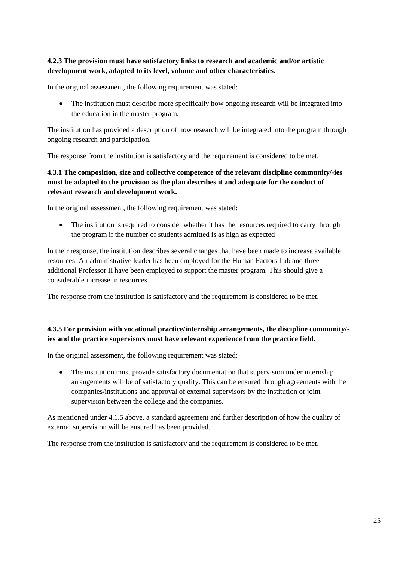### **4.2.3 The provision must have satisfactory links to research and academic and/or artistic development work, adapted to its level, volume and other characteristics.**

In the original assessment, the following requirement was stated:

• The institution must describe more specifically how ongoing research will be integrated into the education in the master program.

The institution has provided a description of how research will be integrated into the program through ongoing research and participation.

The response from the institution is satisfactory and the requirement is considered to be met.

# **4.3.1 The composition, size and collective competence of the relevant discipline community/-ies must be adapted to the provision as the plan describes it and adequate for the conduct of relevant research and development work.**

In the original assessment, the following requirement was stated:

• The institution is required to consider whether it has the resources required to carry through the program if the number of students admitted is as high as expected

In their response, the institution describes several changes that have been made to increase available resources. An administrative leader has been employed for the Human Factors Lab and three additional Professor II have been employed to support the master program. This should give a considerable increase in resources.

The response from the institution is satisfactory and the requirement is considered to be met.

### **4.3.5 For provision with vocational practice/internship arrangements, the discipline community/ ies and the practice supervisors must have relevant experience from the practice field.**

In the original assessment, the following requirement was stated:

• The institution must provide satisfactory documentation that supervision under internship arrangements will be of satisfactory quality. This can be ensured through agreements with the companies/institutions and approval of external supervisors by the institution or joint supervision between the college and the companies.

As mentioned under 4.1.5 above, a standard agreement and further description of how the quality of external supervision will be ensured has been provided.

The response from the institution is satisfactory and the requirement is considered to be met.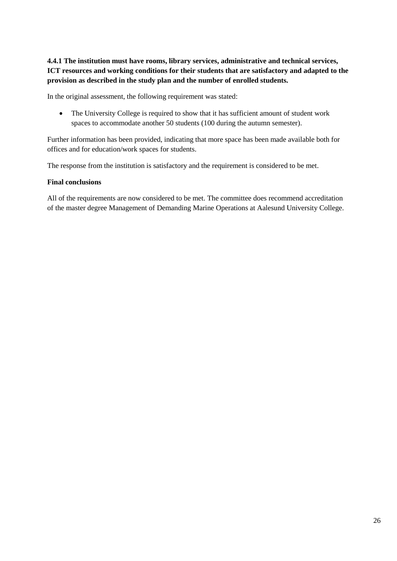# **4.4.1 The institution must have rooms, library services, administrative and technical services, ICT resources and working conditions for their students that are satisfactory and adapted to the provision as described in the study plan and the number of enrolled students.**

In the original assessment, the following requirement was stated:

• The University College is required to show that it has sufficient amount of student work spaces to accommodate another 50 students (100 during the autumn semester).

Further information has been provided, indicating that more space has been made available both for offices and for education/work spaces for students.

The response from the institution is satisfactory and the requirement is considered to be met.

#### **Final conclusions**

All of the requirements are now considered to be met. The committee does recommend accreditation of the master degree Management of Demanding Marine Operations at Aalesund University College.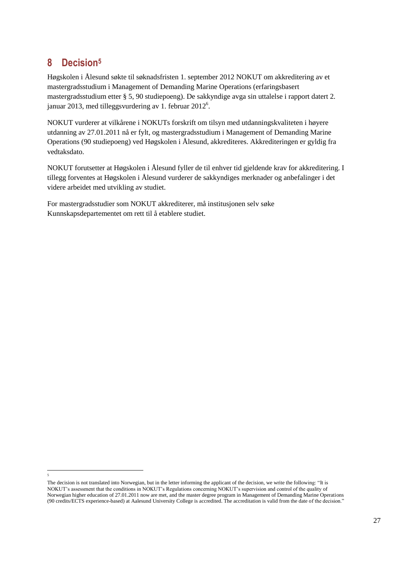# <span id="page-30-0"></span>**8 Decision<sup>5</sup>**

 $\overline{a}$ 5

Høgskolen i Ålesund søkte til søknadsfristen 1. september 2012 NOKUT om akkreditering av et mastergradsstudium i Management of Demanding Marine Operations (erfaringsbasert mastergradsstudium etter § 5, 90 studiepoeng). De sakkyndige avga sin uttalelse i rapport datert 2. januar 2013, med tilleggsvurdering av 1. februar  $2012^6$ .

NOKUT vurderer at vilkårene i NOKUTs forskrift om tilsyn med utdanningskvaliteten i høyere utdanning av 27.01.2011 nå er fylt, og mastergradsstudium i Management of Demanding Marine Operations (90 studiepoeng) ved Høgskolen i Ålesund, akkrediteres. Akkrediteringen er gyldig fra vedtaksdato.

NOKUT forutsetter at Høgskolen i Ålesund fyller de til enhver tid gjeldende krav for akkreditering. I tillegg forventes at Høgskolen i Ålesund vurderer de sakkyndiges merknader og anbefalinger i det videre arbeidet med utvikling av studiet.

For mastergradsstudier som NOKUT akkrediterer, må institusjonen selv søke Kunnskapsdepartementet om rett til å etablere studiet.

The decision is not translated into Norwegian, but in the letter informing the applicant of the decision, we write the following: "It is NOKUT's assessment that the conditions in NOKUT's Regulations concerning NOKUT's supervision and control of the quality of Norwegian higher education of 27.01.2011 now are met, and the master degree program in Management of Demanding Marine Operations (90 credits/ECTS experience-based) at Aalesund University College is accredited. The accreditation is valid from the date of the decision."